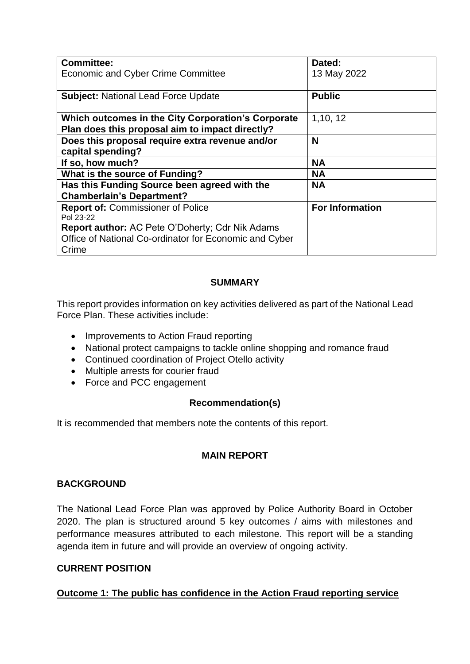| <b>Committee:</b>                                                                                                         | Dated:                 |
|---------------------------------------------------------------------------------------------------------------------------|------------------------|
| <b>Economic and Cyber Crime Committee</b>                                                                                 | 13 May 2022            |
| <b>Subject: National Lead Force Update</b>                                                                                | <b>Public</b>          |
| Which outcomes in the City Corporation's Corporate<br>Plan does this proposal aim to impact directly?                     | 1,10, 12               |
| Does this proposal require extra revenue and/or<br>capital spending?                                                      | N                      |
| If so, how much?                                                                                                          | <b>NA</b>              |
| What is the source of Funding?                                                                                            | <b>NA</b>              |
| Has this Funding Source been agreed with the                                                                              | <b>NA</b>              |
| <b>Chamberlain's Department?</b>                                                                                          |                        |
| <b>Report of: Commissioner of Police</b><br>Pol 23-22                                                                     | <b>For Information</b> |
| <b>Report author: AC Pete O'Doherty; Cdr Nik Adams</b><br>Office of National Co-ordinator for Economic and Cyber<br>Crime |                        |

### **SUMMARY**

This report provides information on key activities delivered as part of the National Lead Force Plan. These activities include:

- Improvements to Action Fraud reporting
- National protect campaigns to tackle online shopping and romance fraud
- Continued coordination of Project Otello activity
- Multiple arrests for courier fraud
- Force and PCC engagement

## **Recommendation(s)**

It is recommended that members note the contents of this report.

## **MAIN REPORT**

#### **BACKGROUND**

The National Lead Force Plan was approved by Police Authority Board in October 2020. The plan is structured around 5 key outcomes / aims with milestones and performance measures attributed to each milestone. This report will be a standing agenda item in future and will provide an overview of ongoing activity.

#### **CURRENT POSITION**

## **Outcome 1: The public has confidence in the Action Fraud reporting service**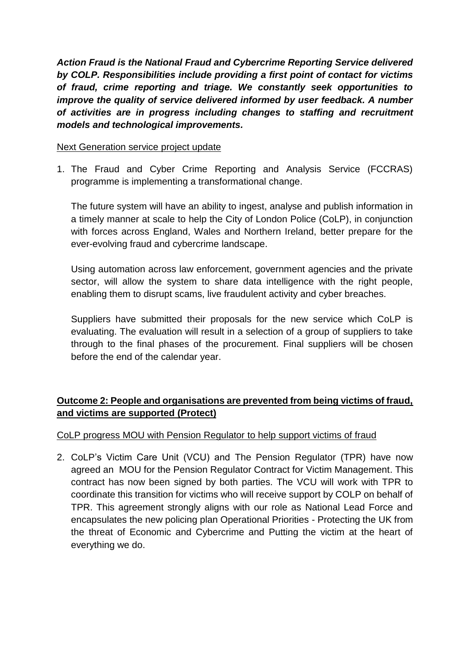*Action Fraud is the National Fraud and Cybercrime Reporting Service delivered by COLP. Responsibilities include providing a first point of contact for victims of fraud, crime reporting and triage. We constantly seek opportunities to improve the quality of service delivered informed by user feedback. A number of activities are in progress including changes to staffing and recruitment models and technological improvements.*

#### Next Generation service project update

1. The Fraud and Cyber Crime Reporting and Analysis Service (FCCRAS) programme is implementing a transformational change.

The future system will have an ability to ingest, analyse and publish information in a timely manner at scale to help the City of London Police (CoLP), in conjunction with forces across England, Wales and Northern Ireland, better prepare for the ever-evolving fraud and cybercrime landscape.

Using automation across law enforcement, government agencies and the private sector, will allow the system to share data intelligence with the right people, enabling them to disrupt scams, live fraudulent activity and cyber breaches.

Suppliers have submitted their proposals for the new service which CoLP is evaluating. The evaluation will result in a selection of a group of suppliers to take through to the final phases of the procurement. Final suppliers will be chosen before the end of the calendar year.

# **Outcome 2: People and organisations are prevented from being victims of fraud, and victims are supported (Protect)**

## CoLP progress MOU with Pension Regulator to help support victims of fraud

2. CoLP's Victim Care Unit (VCU) and The Pension Regulator (TPR) have now agreed an MOU for the Pension Regulator Contract for Victim Management. This contract has now been signed by both parties. The VCU will work with TPR to coordinate this transition for victims who will receive support by COLP on behalf of TPR. This agreement strongly aligns with our role as National Lead Force and encapsulates the new policing plan Operational Priorities - Protecting the UK from the threat of Economic and Cybercrime and Putting the victim at the heart of everything we do.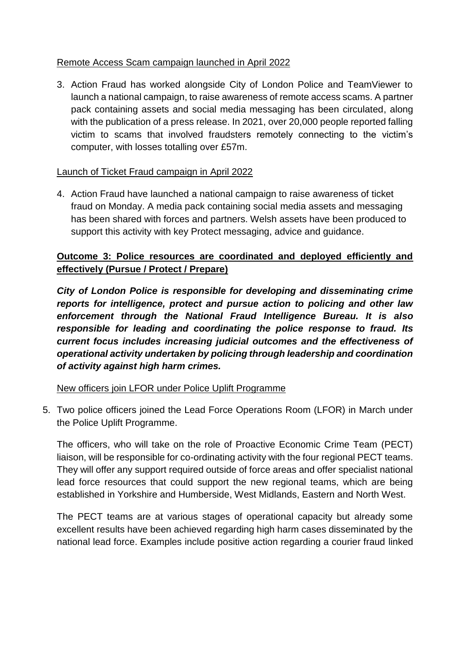## Remote Access Scam campaign launched in April 2022

3. Action Fraud has worked alongside City of London Police and TeamViewer to launch a national campaign, to raise awareness of remote access scams. A partner pack containing assets and social media messaging has been circulated, along with the publication of a press release. In 2021, over 20,000 people reported falling victim to scams that involved fraudsters remotely connecting to the victim's computer, with losses totalling over £57m.

## Launch of Ticket Fraud campaign in April 2022

4. Action Fraud have launched a national campaign to raise awareness of ticket fraud on Monday. A media pack containing social media assets and messaging has been shared with forces and partners. Welsh assets have been produced to support this activity with key Protect messaging, advice and guidance.

# **Outcome 3: Police resources are coordinated and deployed efficiently and effectively (Pursue / Protect / Prepare)**

*City of London Police is responsible for developing and disseminating crime reports for intelligence, protect and pursue action to policing and other law enforcement through the National Fraud Intelligence Bureau. It is also responsible for leading and coordinating the police response to fraud. Its current focus includes increasing judicial outcomes and the effectiveness of operational activity undertaken by policing through leadership and coordination of activity against high harm crimes.* 

New officers join LFOR under Police Uplift Programme

5. Two police officers joined the Lead Force Operations Room (LFOR) in March under the Police Uplift Programme.

The officers, who will take on the role of Proactive Economic Crime Team (PECT) liaison, will be responsible for co-ordinating activity with the four regional PECT teams. They will offer any support required outside of force areas and offer specialist national lead force resources that could support the new regional teams, which are being established in Yorkshire and Humberside, West Midlands, Eastern and North West.

The PECT teams are at various stages of operational capacity but already some excellent results have been achieved regarding high harm cases disseminated by the national lead force. Examples include positive action regarding a courier fraud linked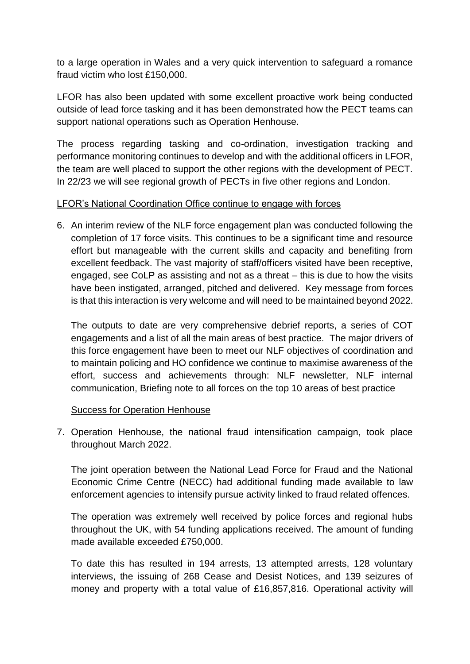to a large operation in Wales and a very quick intervention to safeguard a romance fraud victim who lost £150,000.

LFOR has also been updated with some excellent proactive work being conducted outside of lead force tasking and it has been demonstrated how the PECT teams can support national operations such as Operation Henhouse.

The process regarding tasking and co-ordination, investigation tracking and performance monitoring continues to develop and with the additional officers in LFOR, the team are well placed to support the other regions with the development of PECT. In 22/23 we will see regional growth of PECTs in five other regions and London.

### LFOR's National Coordination Office continue to engage with forces

6. An interim review of the NLF force engagement plan was conducted following the completion of 17 force visits. This continues to be a significant time and resource effort but manageable with the current skills and capacity and benefiting from excellent feedback. The vast majority of staff/officers visited have been receptive, engaged, see CoLP as assisting and not as a threat – this is due to how the visits have been instigated, arranged, pitched and delivered. Key message from forces is that this interaction is very welcome and will need to be maintained beyond 2022.

The outputs to date are very comprehensive debrief reports, a series of COT engagements and a list of all the main areas of best practice. The major drivers of this force engagement have been to meet our NLF objectives of coordination and to maintain policing and HO confidence we continue to maximise awareness of the effort, success and achievements through: NLF newsletter, NLF internal communication, Briefing note to all forces on the top 10 areas of best practice

## Success for Operation Henhouse

7. Operation Henhouse, the national fraud intensification campaign, took place throughout March 2022.

The joint operation between the National Lead Force for Fraud and the National Economic Crime Centre (NECC) had additional funding made available to law enforcement agencies to intensify pursue activity linked to fraud related offences.

The operation was extremely well received by police forces and regional hubs throughout the UK, with 54 funding applications received. The amount of funding made available exceeded £750,000.

To date this has resulted in 194 arrests, 13 attempted arrests, 128 voluntary interviews, the issuing of 268 Cease and Desist Notices, and 139 seizures of money and property with a total value of £16,857,816. Operational activity will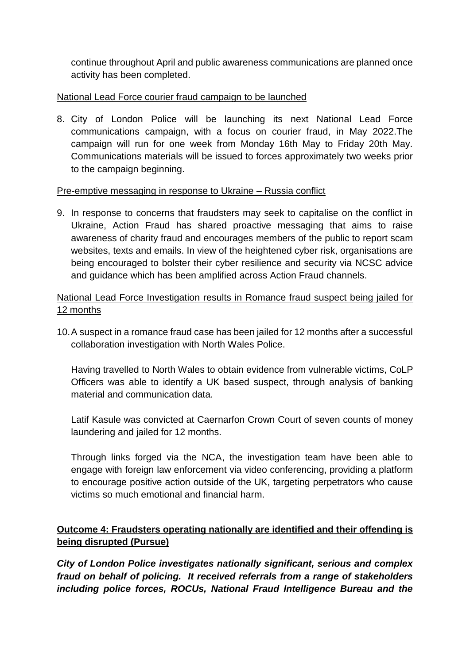continue throughout April and public awareness communications are planned once activity has been completed.

## National Lead Force courier fraud campaign to be launched

8. City of London Police will be launching its next National Lead Force communications campaign, with a focus on courier fraud, in May 2022.The campaign will run for one week from Monday 16th May to Friday 20th May. Communications materials will be issued to forces approximately two weeks prior to the campaign beginning.

## Pre-emptive messaging in response to Ukraine – Russia conflict

9. In response to concerns that fraudsters may seek to capitalise on the conflict in Ukraine, Action Fraud has shared proactive messaging that aims to raise awareness of charity fraud and encourages members of the public to report scam websites, texts and emails. In view of the heightened cyber risk, organisations are being encouraged to bolster their cyber resilience and security via NCSC advice and guidance which has been amplified across Action Fraud channels.

National Lead Force Investigation results in Romance fraud suspect being jailed for 12 months

10.A suspect in a romance fraud case has been jailed for 12 months after a successful collaboration investigation with North Wales Police.

Having travelled to North Wales to obtain evidence from vulnerable victims, CoLP Officers was able to identify a UK based suspect, through analysis of banking material and communication data.

Latif Kasule was convicted at Caernarfon Crown Court of seven counts of money laundering and jailed for 12 months.

Through links forged via the NCA, the investigation team have been able to engage with foreign law enforcement via video conferencing, providing a platform to encourage positive action outside of the UK, targeting perpetrators who cause victims so much emotional and financial harm.

# **Outcome 4: Fraudsters operating nationally are identified and their offending is being disrupted (Pursue)**

*City of London Police investigates nationally significant, serious and complex fraud on behalf of policing. It received referrals from a range of stakeholders including police forces, ROCUs, National Fraud Intelligence Bureau and the*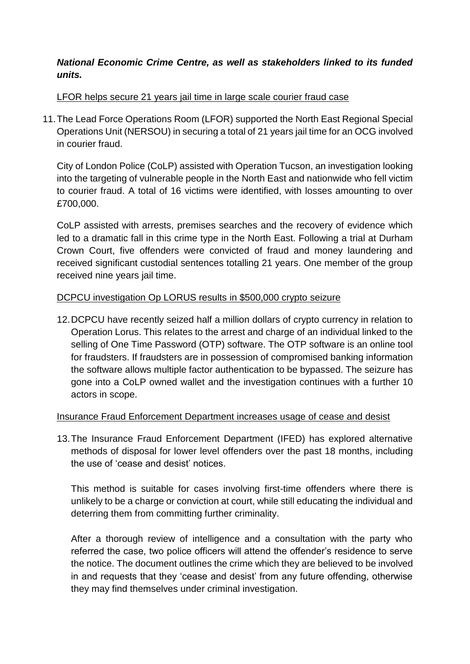## *National Economic Crime Centre, as well as stakeholders linked to its funded units.*

## LFOR helps secure 21 years jail time in large scale courier fraud case

11.The Lead Force Operations Room (LFOR) supported the North East Regional Special Operations Unit (NERSOU) in securing a total of 21 years jail time for an OCG involved in courier fraud.

City of London Police (CoLP) assisted with Operation Tucson, an investigation looking into the targeting of vulnerable people in the North East and nationwide who fell victim to courier fraud. A total of 16 victims were identified, with losses amounting to over £700,000.

CoLP assisted with arrests, premises searches and the recovery of evidence which led to a dramatic fall in this crime type in the North East. Following a trial at Durham Crown Court, five offenders were convicted of fraud and money laundering and received significant custodial sentences totalling 21 years. One member of the group received nine years jail time.

## DCPCU investigation Op LORUS results in \$500,000 crypto seizure

12.DCPCU have recently seized half a million dollars of crypto currency in relation to Operation Lorus. This relates to the arrest and charge of an individual linked to the selling of One Time Password (OTP) software. The OTP software is an online tool for fraudsters. If fraudsters are in possession of compromised banking information the software allows multiple factor authentication to be bypassed. The seizure has gone into a CoLP owned wallet and the investigation continues with a further 10 actors in scope.

## Insurance Fraud Enforcement Department increases usage of cease and desist

13.The Insurance Fraud Enforcement Department (IFED) has explored alternative methods of disposal for lower level offenders over the past 18 months, including the use of 'cease and desist' notices.

This method is suitable for cases involving first-time offenders where there is unlikely to be a charge or conviction at court, while still educating the individual and deterring them from committing further criminality.

After a thorough review of intelligence and a consultation with the party who referred the case, two police officers will attend the offender's residence to serve the notice. The document outlines the crime which they are believed to be involved in and requests that they 'cease and desist' from any future offending, otherwise they may find themselves under criminal investigation.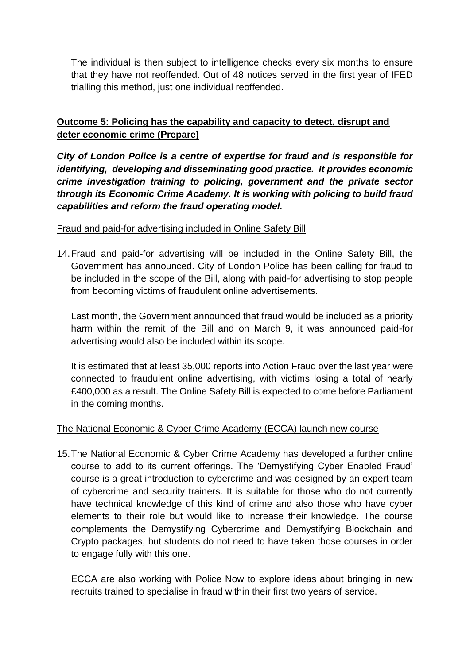The individual is then subject to intelligence checks every six months to ensure that they have not reoffended. Out of 48 notices served in the first year of IFED trialling this method, just one individual reoffended.

## **Outcome 5: Policing has the capability and capacity to detect, disrupt and deter economic crime (Prepare)**

*City of London Police is a centre of expertise for fraud and is responsible for identifying, developing and disseminating good practice. It provides economic crime investigation training to policing, government and the private sector through its Economic Crime Academy. It is working with policing to build fraud capabilities and reform the fraud operating model.* 

## Fraud and paid-for advertising included in Online Safety Bill

14.Fraud and paid-for advertising will be included in the Online Safety Bill, the Government has announced. City of London Police has been calling for fraud to be included in the scope of the Bill, along with paid-for advertising to stop people from becoming victims of fraudulent online advertisements.

Last month, the Government announced that fraud would be included as a priority harm within the remit of the Bill and on March 9, it was announced paid-for advertising would also be included within its scope.

It is estimated that at least 35,000 reports into Action Fraud over the last year were connected to fraudulent online advertising, with victims losing a total of nearly £400,000 as a result. The Online Safety Bill is expected to come before Parliament in the coming months.

## The National Economic & Cyber Crime Academy (ECCA) launch new course

15.The National Economic & Cyber Crime Academy has developed a further online course to add to its current offerings. The 'Demystifying Cyber Enabled Fraud' course is a great introduction to cybercrime and was designed by an expert team of cybercrime and security trainers. It is suitable for those who do not currently have technical knowledge of this kind of crime and also those who have cyber elements to their role but would like to increase their knowledge. The course complements the Demystifying Cybercrime and Demystifying Blockchain and Crypto packages, but students do not need to have taken those courses in order to engage fully with this one.

ECCA are also working with Police Now to explore ideas about bringing in new recruits trained to specialise in fraud within their first two years of service.